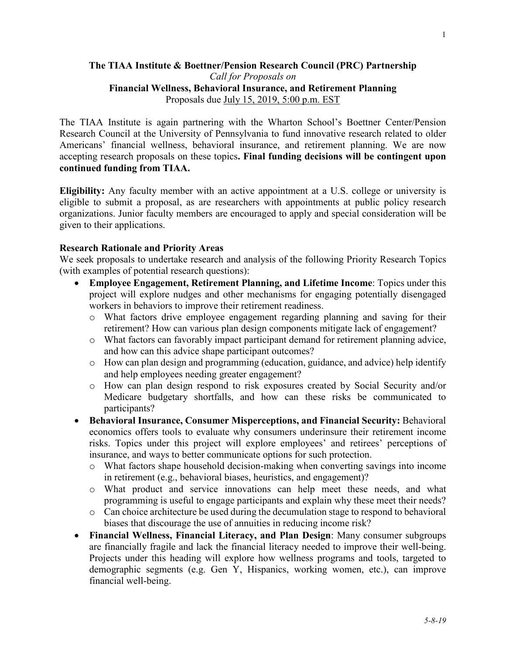#### **The TIAA Institute & Boettner/Pension Research Council (PRC) Partnership** *Call for Proposals on* **Financial Wellness, Behavioral Insurance, and Retirement Planning** Proposals due July 15, 2019, 5:00 p.m. EST

The TIAA Institute is again partnering with the Wharton School's Boettner Center/Pension Research Council at the University of Pennsylvania to fund innovative research related to older Americans' financial wellness, behavioral insurance, and retirement planning. We are now accepting research proposals on these topics**. Final funding decisions will be contingent upon continued funding from TIAA.**

**Eligibility:** Any faculty member with an active appointment at a U.S. college or university is eligible to submit a proposal, as are researchers with appointments at public policy research organizations. Junior faculty members are encouraged to apply and special consideration will be given to their applications.

#### **Research Rationale and Priority Areas**

We seek proposals to undertake research and analysis of the following Priority Research Topics (with examples of potential research questions):

- **Employee Engagement, Retirement Planning, and Lifetime Income**: Topics under this project will explore nudges and other mechanisms for engaging potentially disengaged workers in behaviors to improve their retirement readiness.
	- o What factors drive employee engagement regarding planning and saving for their retirement? How can various plan design components mitigate lack of engagement?
	- o What factors can favorably impact participant demand for retirement planning advice, and how can this advice shape participant outcomes?
	- o How can plan design and programming (education, guidance, and advice) help identify and help employees needing greater engagement?
	- o How can plan design respond to risk exposures created by Social Security and/or Medicare budgetary shortfalls, and how can these risks be communicated to participants?
- **Behavioral Insurance, Consumer Misperceptions, and Financial Security:** Behavioral economics offers tools to evaluate why consumers underinsure their retirement income risks. Topics under this project will explore employees' and retirees' perceptions of insurance, and ways to better communicate options for such protection.
	- o What factors shape household decision-making when converting savings into income in retirement (e.g., behavioral biases, heuristics, and engagement)?
	- o What product and service innovations can help meet these needs, and what programming is useful to engage participants and explain why these meet their needs?
	- o Can choice architecture be used during the decumulation stage to respond to behavioral biases that discourage the use of annuities in reducing income risk?
- **Financial Wellness, Financial Literacy, and Plan Design**: Many consumer subgroups are financially fragile and lack the financial literacy needed to improve their well-being. Projects under this heading will explore how wellness programs and tools, targeted to demographic segments (e.g. Gen Y, Hispanics, working women, etc.), can improve financial well-being.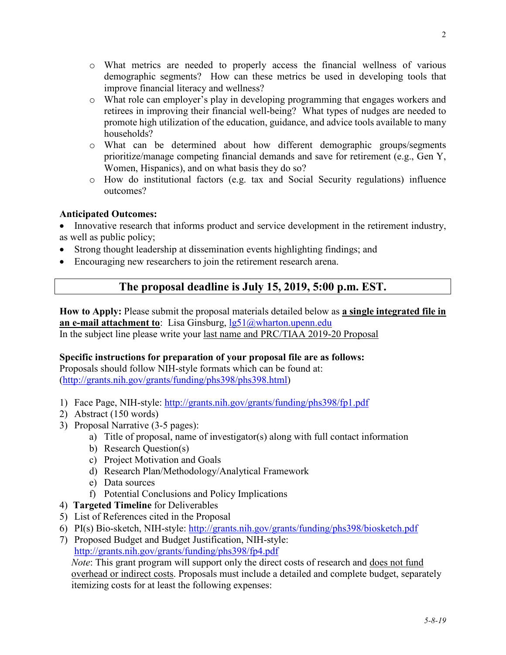- o What metrics are needed to properly access the financial wellness of various demographic segments? How can these metrics be used in developing tools that improve financial literacy and wellness?
- o What role can employer's play in developing programming that engages workers and retirees in improving their financial well-being? What types of nudges are needed to promote high utilization of the education, guidance, and advice tools available to many households?
- o What can be determined about how different demographic groups/segments prioritize/manage competing financial demands and save for retirement (e.g., Gen Y, Women, Hispanics), and on what basis they do so?
- o How do institutional factors (e.g. tax and Social Security regulations) influence outcomes?

## **Anticipated Outcomes:**

• Innovative research that informs product and service development in the retirement industry, as well as public policy;

- Strong thought leadership at dissemination events highlighting findings; and
- Encouraging new researchers to join the retirement research arena.

# **The proposal deadline is July 15, 2019, 5:00 p.m. EST.**

**How to Apply:** Please submit the proposal materials detailed below as **a single integrated file in an e-mail attachment to**: Lisa Ginsburg, [lg51@wharton.upenn.edu](mailto:lg51@wharton.upenn.edu) In the subject line please write your last name and PRC/TIAA 2019-20 Proposal

## **Specific instructions for preparation of your proposal file are as follows:**

Proposals should follow NIH-style formats which can be found at: [\(http://grants.nih.gov/grants/funding/phs398/phs398.html\)](http://grants.nih.gov/grants/funding/phs398/phs398.html)

- 1) Face Page, NIH-style:<http://grants.nih.gov/grants/funding/phs398/fp1.pdf>
- 2) Abstract (150 words)
- 3) Proposal Narrative (3-5 pages):
	- a) Title of proposal, name of investigator(s) along with full contact information
	- b) Research Question(s)
	- c) Project Motivation and Goals
	- d) Research Plan/Methodology/Analytical Framework
	- e) Data sources
	- f) Potential Conclusions and Policy Implications
- 4) **Targeted Timeline** for Deliverables
- 5) List of References cited in the Proposal
- 6) PI(s) Bio-sketch, NIH-style:<http://grants.nih.gov/grants/funding/phs398/biosketch.pdf>
- 7) Proposed Budget and Budget Justification, NIH-style: <http://grants.nih.gov/grants/funding/phs398/fp4.pdf>

*Note*: This grant program will support only the direct costs of research and does not fund overhead or indirect costs. Proposals must include a detailed and complete budget, separately itemizing costs for at least the following expenses: